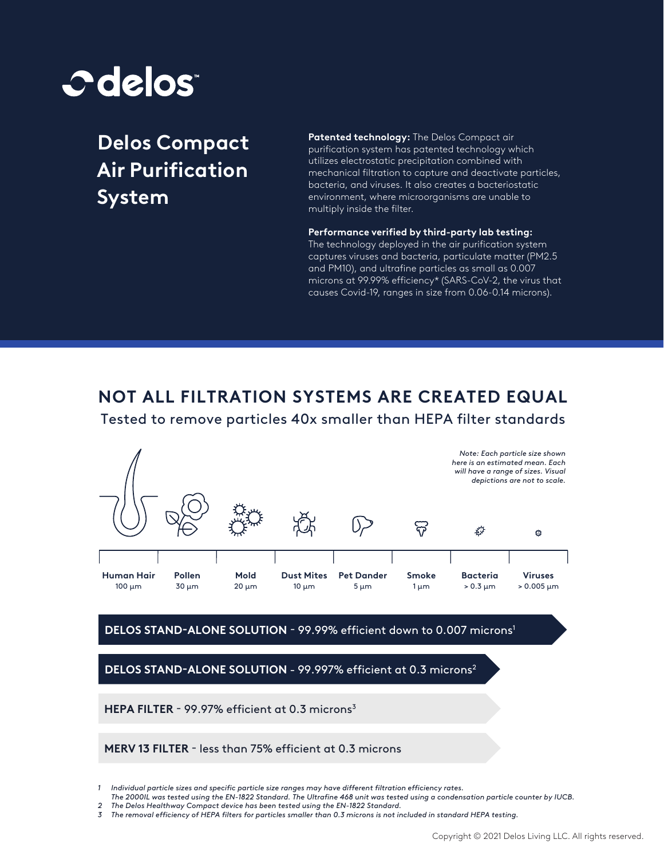

**Delos Compact Air Purification System**

STAND-ALONE ONLY

**Patented technology:** The Delos Compact air purification system has patented technology which utilizes electrostatic precipitation combined with mechanical filtration to capture and deactivate particles, bacteria, and viruses. It also creates a bacteriostatic environment, where microorganisms are unable to multiply inside the filter.

**Performance verified by third-party lab testing:**  The technology deployed in the air purification system captures viruses and bacteria, particulate matter (PM2.5 and PM10), and ultrafine particles as small as 0.007 microns at 99.99% efficiency\* (SARS-CoV-2, the virus that causes Covid-19, ranges in size from 0.06-0.14 microns).

## **NOT ALL FILTRATION SYSTEMS ARE CREATED EQUAL**

Tested to remove particles 40x smaller than HEPA filter standards



## DELOS STAND-ALONE SOLUTION - 99.99% efficient down to 0.007 microns<sup>1</sup>

**DELOS STAND-ALONE SOLUTION - 99.997% efficient at 0.3 microns<sup>2</sup>** 

HEPA FILTER - 99.97% efficient at 0.3 microns<sup>3</sup>

**MERV 13 FILTER** - less than 75% efficient at 0.3 microns

*3 The removal eciency of HEPA lters for particles smaller than 0.3 microns is not included in standard HEPA testing.*

*<sup>1</sup>* Individual particle sizes and specific particle size ranges may have different filtration efficiency rates.

The 2000IL was tested using the EN-1822 Standard. The Ultrafine 468 unit was tested using a condensation particle counter by IUCB.

*<sup>2</sup> The Delos Healthway Compact device has been tested using the EN-1822 Standard.*